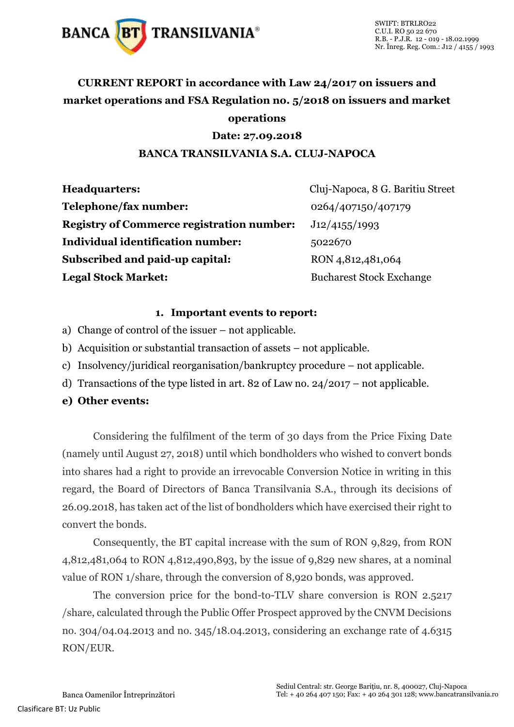

# **CURRENT REPORT in accordance with Law 24/2017 on issuers and market operations and FSA Regulation no. 5/2018 on issuers and market operations**

## **Date: 27.09.2018**

#### **BANCA TRANSILVANIA S.A. CLUJ-NAPOCA**

| <b>Headquarters:</b>                             | Cluj-Napoca, 8 G. Baritiu Street |
|--------------------------------------------------|----------------------------------|
| Telephone/fax number:                            | 0264/407150/407179               |
| <b>Registry of Commerce registration number:</b> | J12/4155/1993                    |
| <b>Individual identification number:</b>         | 5022670                          |
| Subscribed and paid-up capital:                  | RON 4,812,481,064                |
| <b>Legal Stock Market:</b>                       | <b>Bucharest Stock Exchange</b>  |

#### **1. Important events to report:**

- a) Change of control of the issuer not applicable.
- b) Acquisition or substantial transaction of assets not applicable.
- c) Insolvency/juridical reorganisation/bankruptcy procedure not applicable.
- d) Transactions of the type listed in art. 82 of Law no. 24/2017 not applicable.

## **e) Other events:**

Considering the fulfilment of the term of 30 days from the Price Fixing Date (namely until August 27, 2018) until which bondholders who wished to convert bonds into shares had a right to provide an irrevocable Conversion Notice in writing in this regard, the Board of Directors of Banca Transilvania S.A., through its decisions of 26.09.2018, has taken act of the list of bondholders which have exercised their right to convert the bonds.

Consequently, the BT capital increase with the sum of RON 9,829, from RON 4,812,481,064 to RON 4,812,490,893, by the issue of 9,829 new shares, at a nominal value of RON 1/share, through the conversion of 8,920 bonds, was approved.

The conversion price for the bond-to-TLV share conversion is RON 2.5217 /share, calculated through the Public Offer Prospect approved by the CNVM Decisions no. 304/04.04.2013 and no. 345/18.04.2013, considering an exchange rate of 4.6315 RON/EUR.